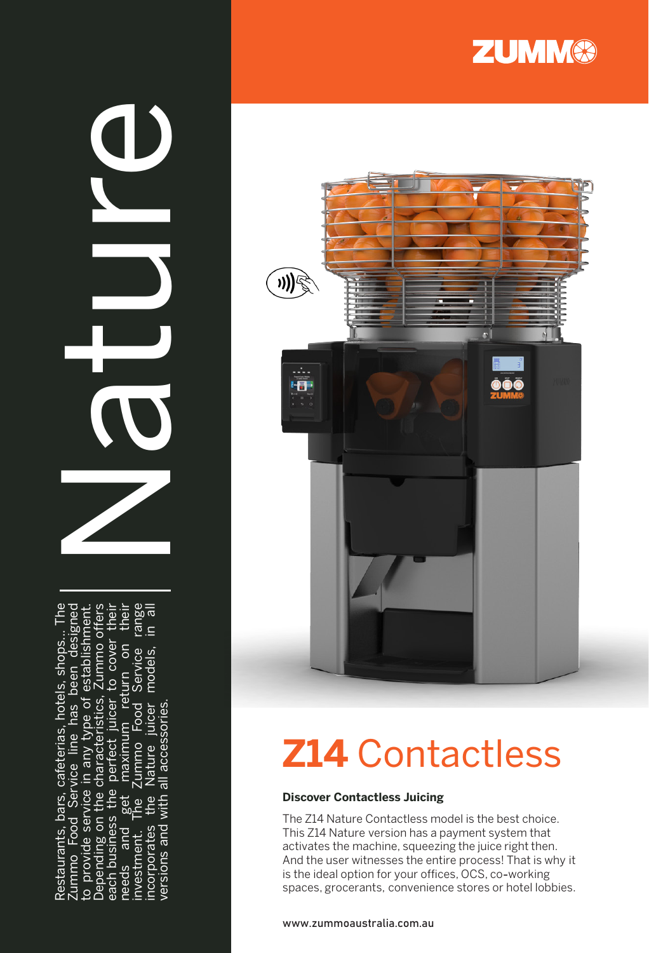Restaurants, bars, cafeterias, hotels, shops... The<br>Zummo Food Service line has been designed<br>to provide service in any type of establishment:<br>Depending on the characteristics, Zummo offers<br>each business the perfect juicer

 $\bigcirc$ 





# **Z14** Contactless

#### **Discover Contactless Juicing**

The Z14 Nature Contactless model is the best choice. This Z14 Nature version has a payment system that activates the machine, squeezing the juice right then. And the user witnesses the entire process! That is why it is the ideal option for your offices, OCS, co -working spaces, grocerants, convenience stores or hotel lobbies.

www.zummoaustralia.com.au